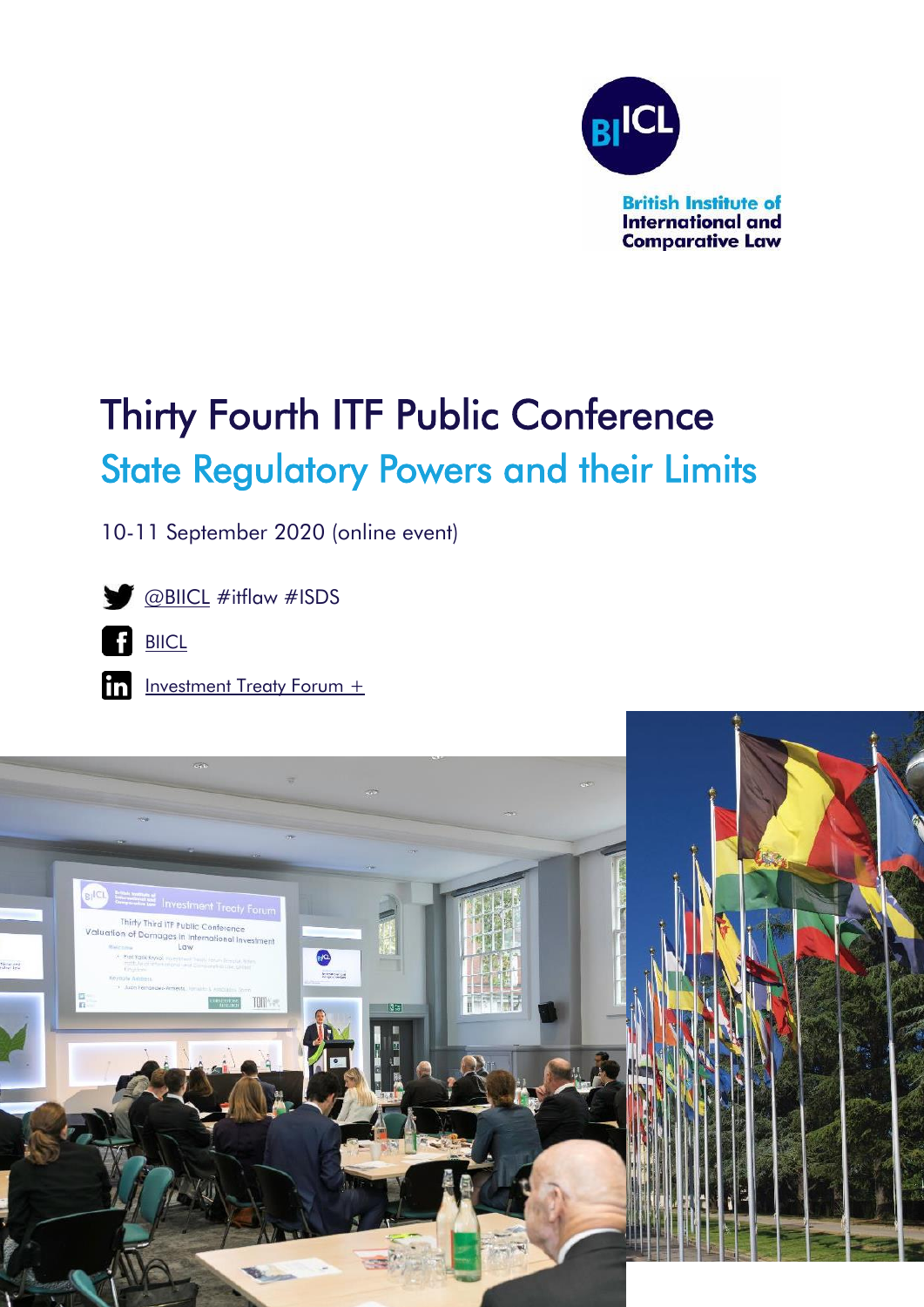

# Thirty Fourth ITF Public Conference State Regulatory Powers and their Limits

10-11 September 2020 (online event)



[@BIICL](https://twitter.com/BIICL) #itflaw #ISDS



In [Investment Treaty Forum +](https://www.linkedin.com/groups/12404404/)

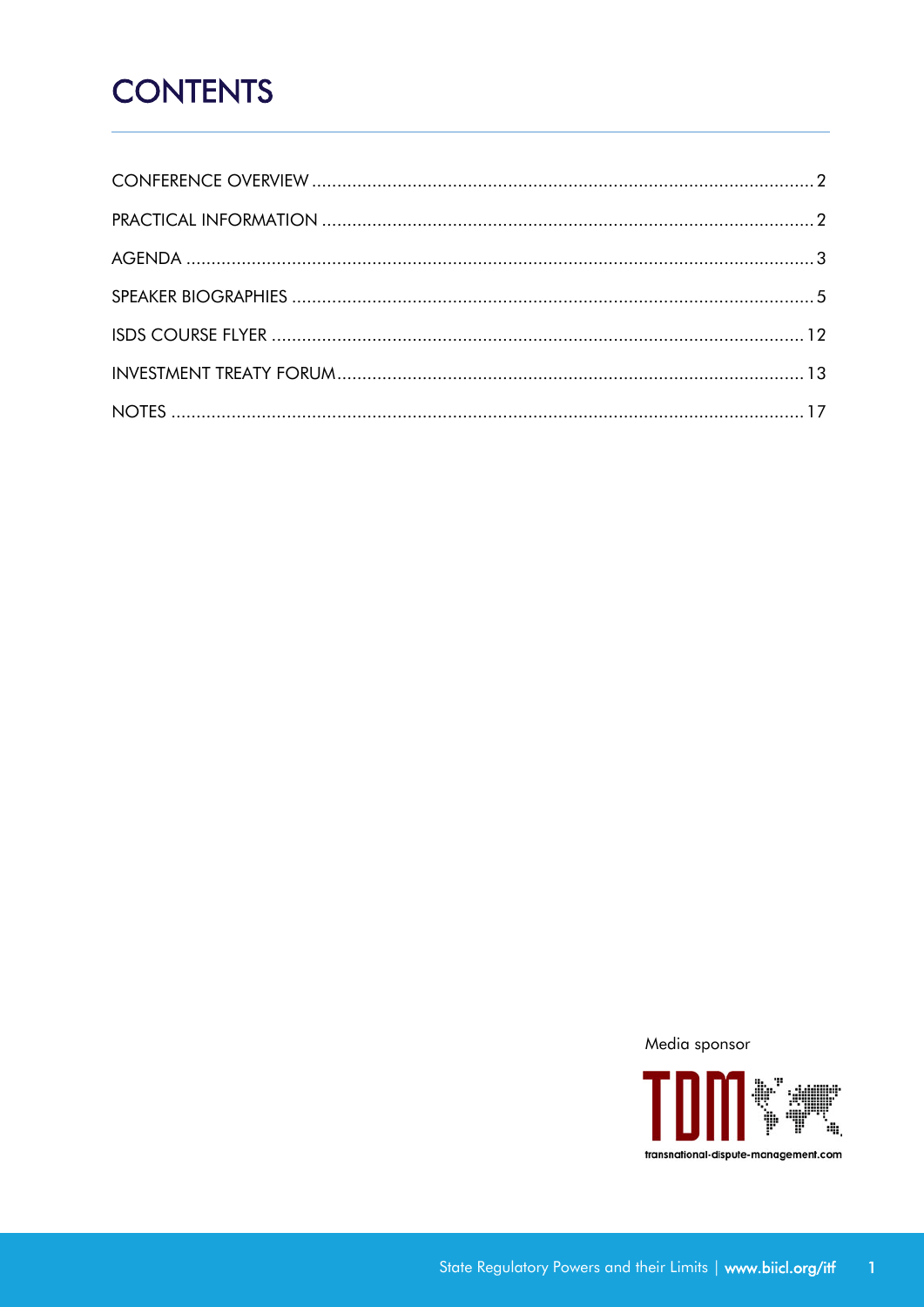## **CONTENTS**

Media sponsor

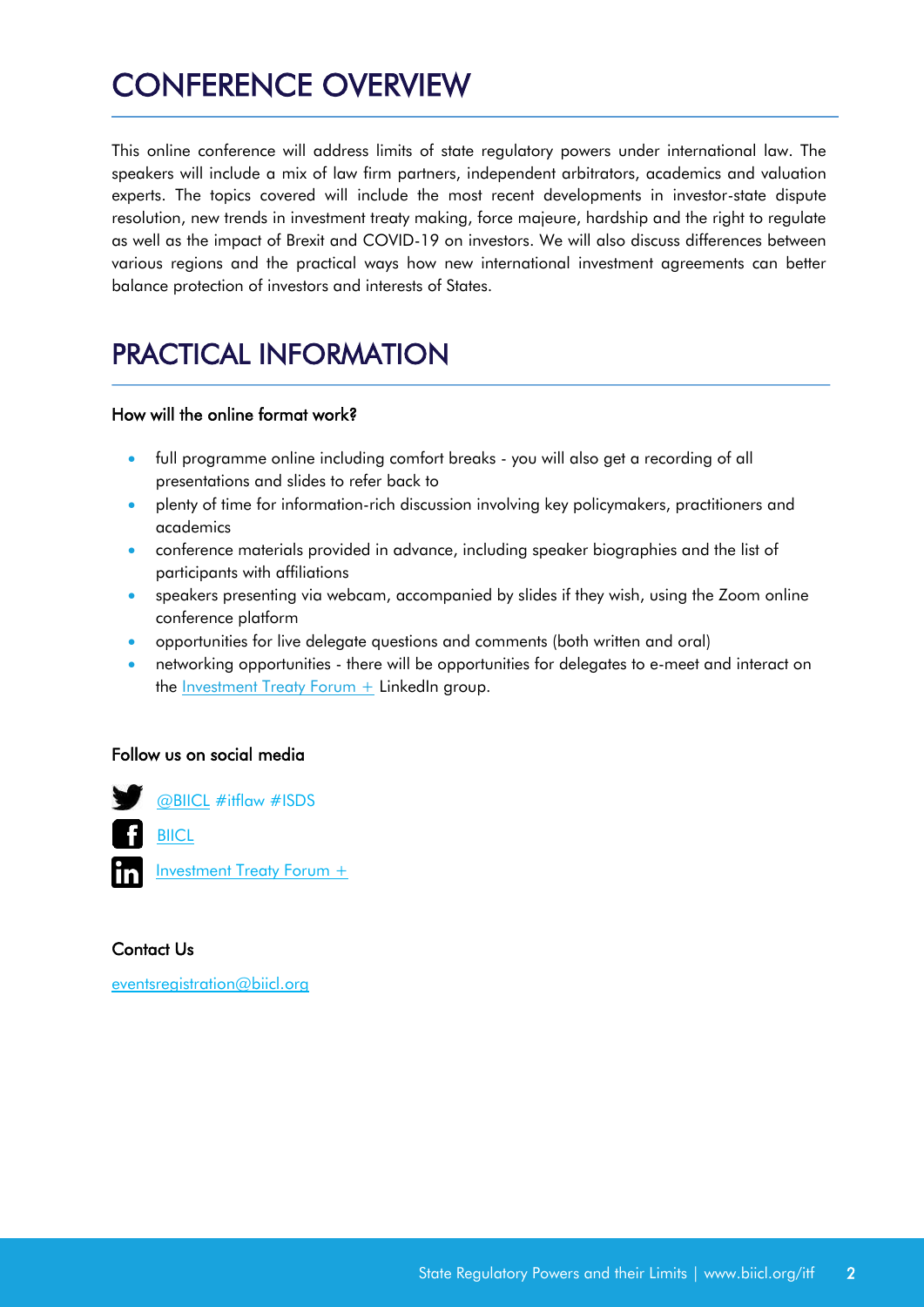## <span id="page-2-0"></span>CONFERENCE OVERVIEW

This online conference will address limits of state regulatory powers under international law. The speakers will include a mix of law firm partners, independent arbitrators, academics and valuation experts. The topics covered will include the most recent developments in investor-state dispute resolution, new trends in investment treaty making, force majeure, hardship and the right to regulate as well as the impact of Brexit and COVID-19 on investors. We will also discuss differences between various regions and the practical ways how new international investment agreements can better balance protection of investors and interests of States.

## <span id="page-2-1"></span>PRACTICAL INFORMATION

#### How will the online format work?

- full programme online including comfort breaks you will also get a recording of all presentations and slides to refer back to
- plenty of time for information-rich discussion involving key policymakers, practitioners and academics
- conference materials provided in advance, including speaker biographies and the list of participants with affiliations
- speakers presenting via webcam, accompanied by slides if they wish, using the Zoom online conference platform
- opportunities for live delegate questions and comments (both written and oral)
- networking opportunities there will be opportunities for delegates to e-meet and interact on the *Investment Treaty Forum*  $+$  *LinkedIn group.*

#### Follow us on social media



#### Contact Us

[eventsregistration@biicl.org](mailto:eventsregistration@biicl.org)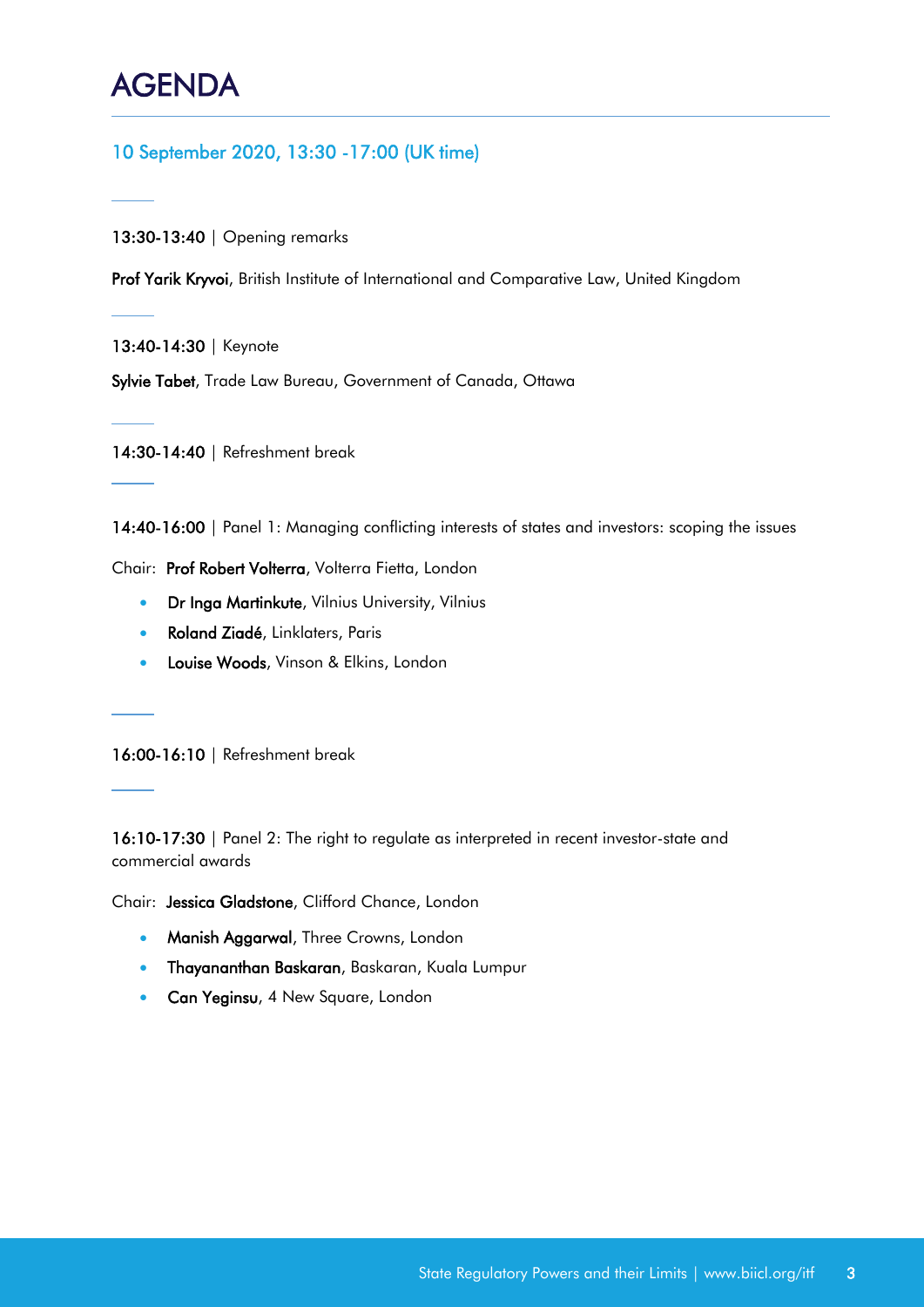## <span id="page-3-0"></span>AGENDA

Ī

#### 10 September 2020, 13:30 -17:00 (UK time)

13:30-13:40 | Opening remarks

Prof Yarik Kryvoi, British Institute of International and Comparative Law, United Kingdom

13:40-14:30 | Keynote

Sylvie Tabet, Trade Law Bureau, Government of Canada, Ottawa

14:30-14:40 | Refreshment break

14:40-16:00 | Panel 1: Managing conflicting interests of states and investors: scoping the issues

Chair: Prof Robert Volterra, Volterra Fietta, London

- **Dr Inga Martinkute**, Vilnius University, Vilnius
- Roland Ziadé, Linklaters, Paris
- **Louise Woods**, Vinson & Elkins, London

16:00-16:10 | Refreshment break

16:10-17:30 | Panel 2: The right to regulate as interpreted in recent investor-state and commercial awards

Chair: Jessica Gladstone, Clifford Chance, London

- **Manish Aggarwal**, Three Crowns, London
- Thayananthan Baskaran, Baskaran, Kuala Lumpur
- **Can Yeginsu**, 4 New Square, London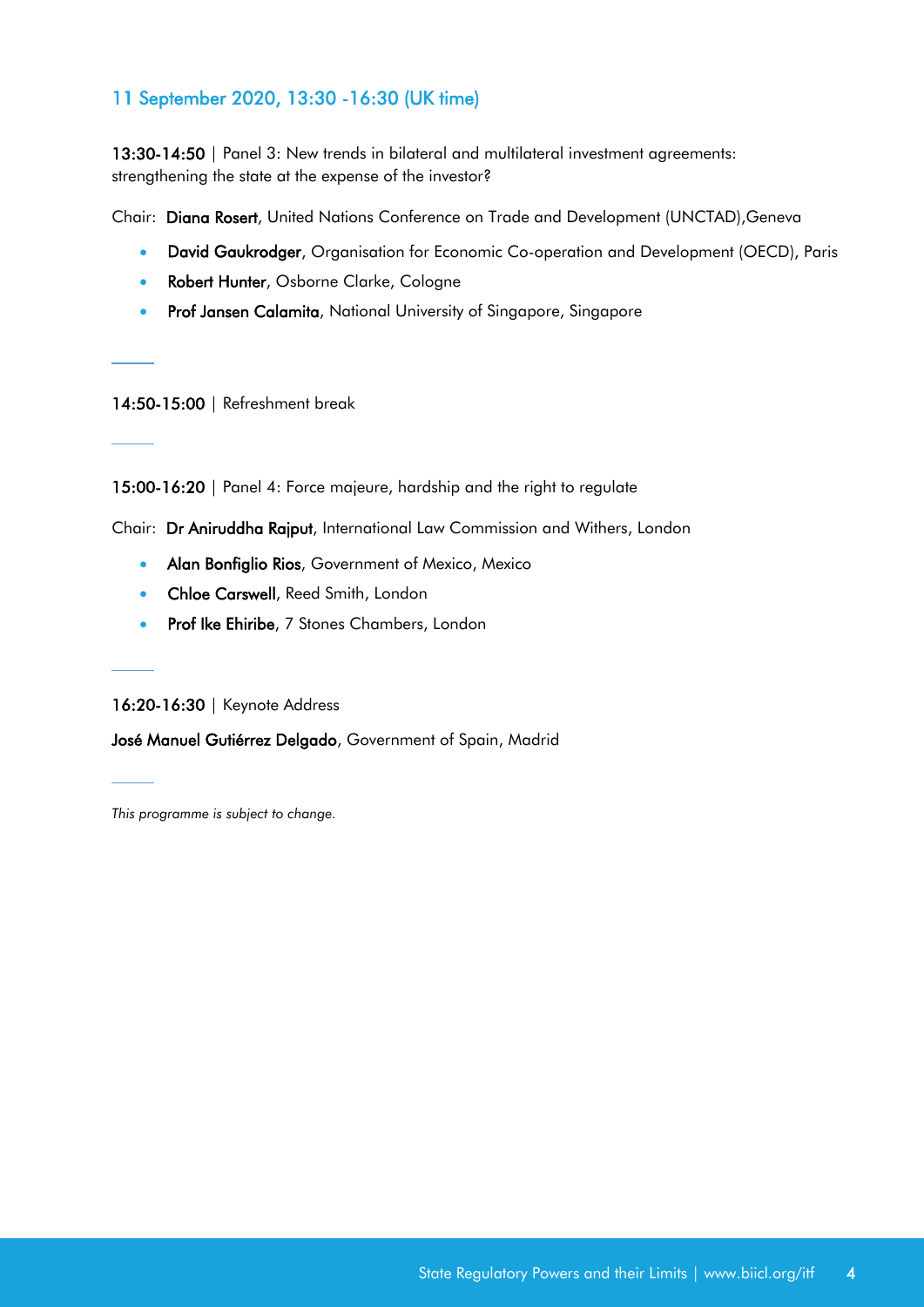#### 11 September 2020, 13:30 -16:30 (UK time)

13:30-14:50 | Panel 3: New trends in bilateral and multilateral investment agreements: strengthening the state at the expense of the investor?

Chair: Diana Rosert, United Nations Conference on Trade and Development (UNCTAD),Geneva

- **David Gaukrodger**, Organisation for Economic Co-operation and Development (OECD), Paris
- **Robert Hunter**, Osborne Clarke, Cologne
- **Prof Jansen Calamita**, National University of Singapore, Singapore

14:50-15:00 | Refreshment break

15:00-16:20 | Panel 4: Force majeure, hardship and the right to regulate

Chair: Dr Aniruddha Rajput, International Law Commission and Withers, London

- **Alan Bonfiglio Rios**, Government of Mexico, Mexico
- **Chloe Carswell**, Reed Smith, London
- **Prof Ike Ehiribe**, 7 Stones Chambers, London

16:20-16:30 | Keynote Address

José Manuel Gutiérrez Delgado, Government of Spain, Madrid

*This programme is subject to change.*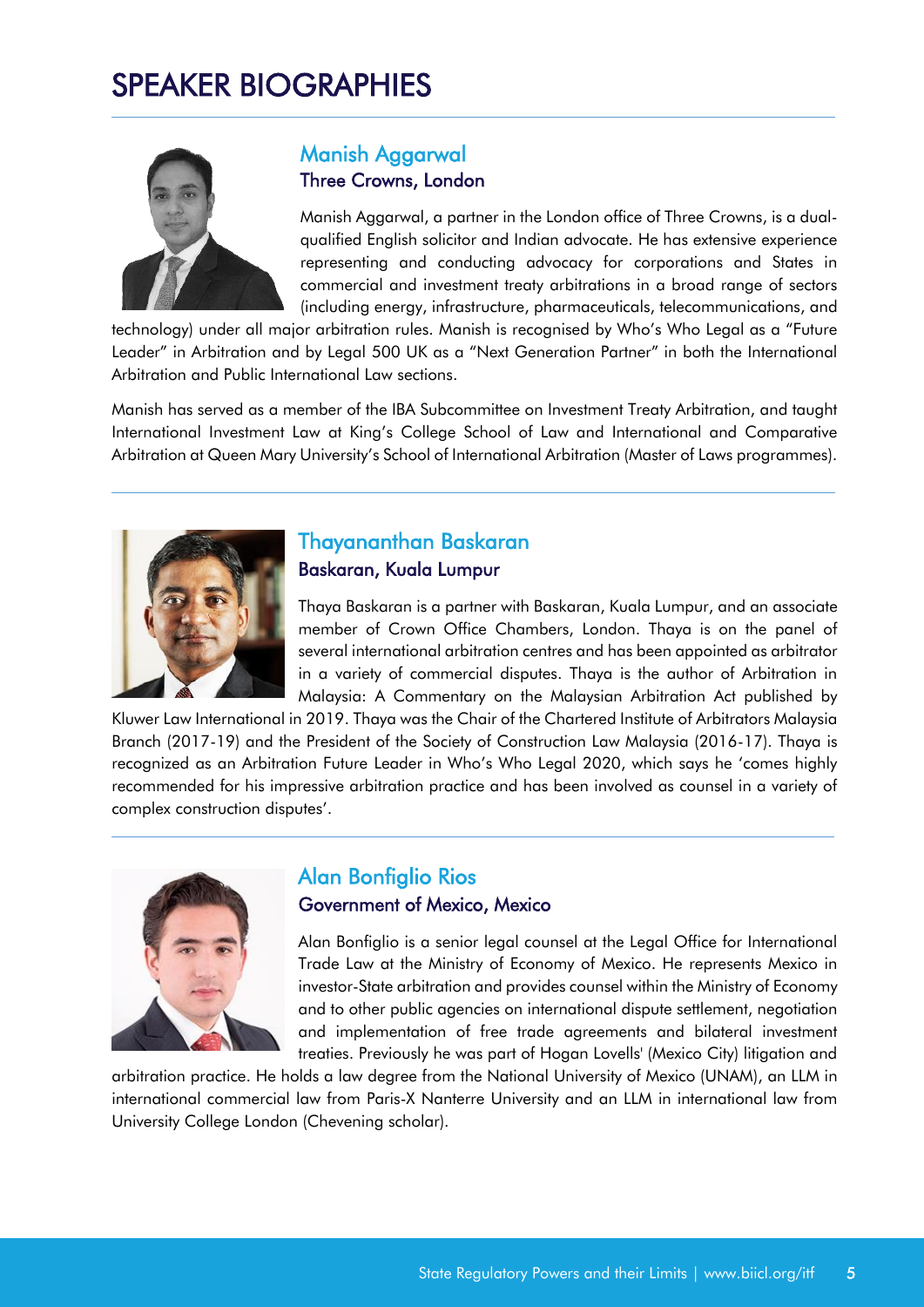## <span id="page-5-0"></span>SPEAKER BIOGRAPHIES



#### Manish Aggarwal Three Crowns, London

Manish Aggarwal, a partner in the London office of Three Crowns, is a dualqualified English solicitor and Indian advocate. He has extensive experience representing and conducting advocacy for corporations and States in commercial and investment treaty arbitrations in a broad range of sectors (including energy, infrastructure, pharmaceuticals, telecommunications, and

technology) under all major arbitration rules. Manish is recognised by Who's Who Legal as a "Future Leader" in Arbitration and by Legal 500 UK as a "Next Generation Partner" in both the International Arbitration and Public International Law sections.

Manish has served as a member of the IBA Subcommittee on Investment Treaty Arbitration, and taught International Investment Law at King's College School of Law and International and Comparative Arbitration at Queen Mary University's School of International Arbitration (Master of Laws programmes).



## Thayananthan Baskaran Baskaran, Kuala Lumpur

Thaya Baskaran is a partner with Baskaran, Kuala Lumpur, and an associate member of Crown Office Chambers, London. Thaya is on the panel of several international arbitration centres and has been appointed as arbitrator in a variety of commercial disputes. Thaya is the author of Arbitration in Malaysia: A Commentary on the Malaysian Arbitration Act published by

Kluwer Law International in 2019. Thaya was the Chair of the Chartered Institute of Arbitrators Malaysia Branch (2017-19) and the President of the Society of Construction Law Malaysia (2016-17). Thaya is recognized as an Arbitration Future Leader in Who's Who Legal 2020, which says he 'comes highly recommended for his impressive arbitration practice and has been involved as counsel in a variety of complex construction disputes'.



### Alan Bonfiglio Rios Government of Mexico, Mexico

Alan Bonfiglio is a senior legal counsel at the Legal Office for International Trade Law at the Ministry of Economy of Mexico. He represents Mexico in investor-State arbitration and provides counsel within the Ministry of Economy and to other public agencies on international dispute settlement, negotiation and implementation of free trade agreements and bilateral investment treaties. Previously he was part of Hogan Lovells' (Mexico City) litigation and

arbitration practice. He holds a law degree from the National University of Mexico (UNAM), an LLM in international commercial law from Paris-X Nanterre University and an LLM in international law from University College London (Chevening scholar).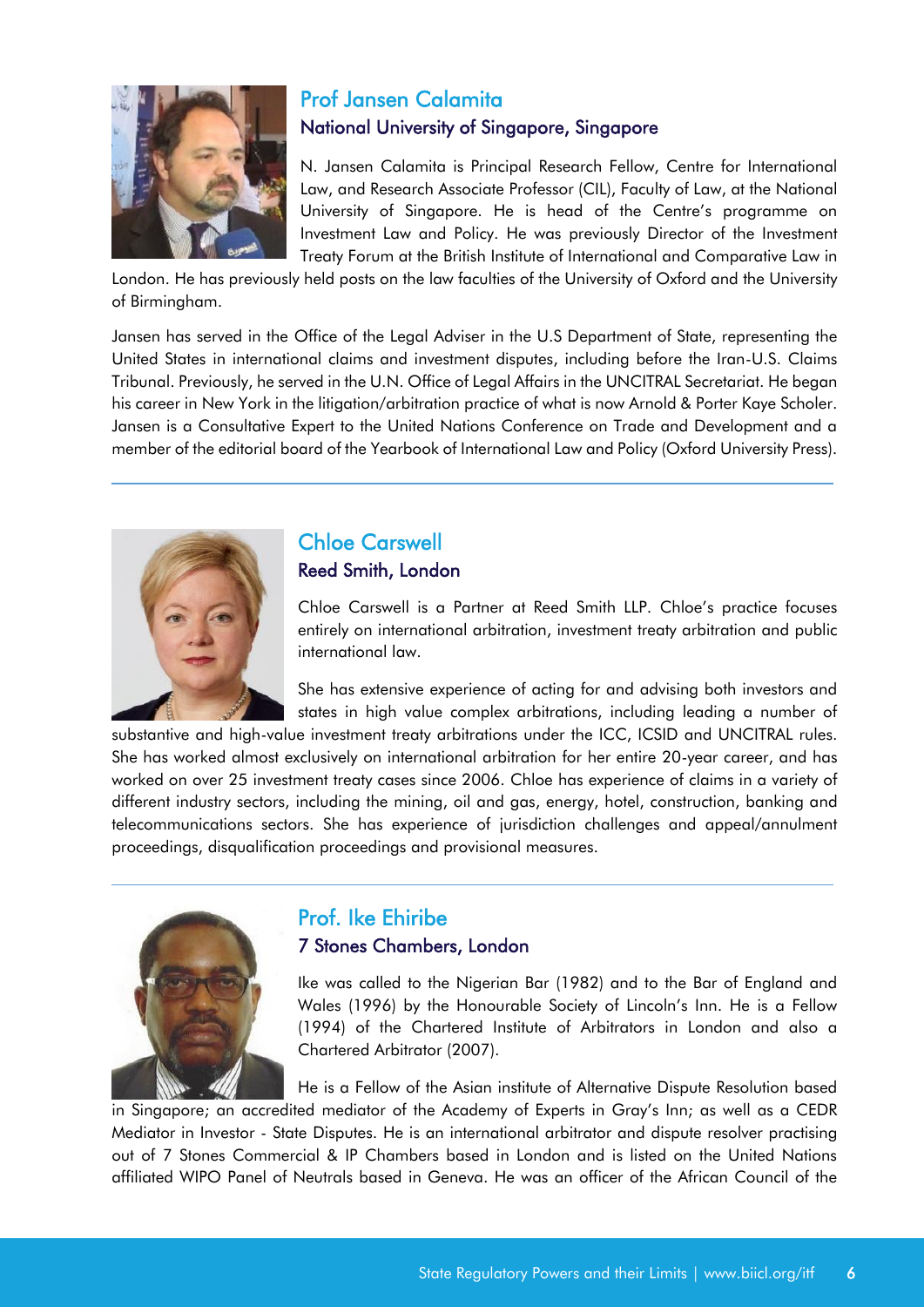

## Prof Jansen Calamita National University of Singapore, Singapore

N. Jansen Calamita is Principal Research Fellow, Centre for International Law, and Research Associate Professor (CIL), Faculty of Law, at the National University of Singapore. He is head of the Centre's programme on Investment Law and Policy. He was previously Director of the Investment Treaty Forum at the British Institute of International and Comparative Law in

London. He has previously held posts on the law faculties of the University of Oxford and the University of Birmingham.

Jansen has served in the Office of the Legal Adviser in the U.S Department of State, representing the United States in international claims and investment disputes, including before the Iran-U.S. Claims Tribunal. Previously, he served in the U.N. Office of Legal Affairs in the UNCITRAL Secretariat. He began his career in New York in the litigation/arbitration practice of what is now Arnold & Porter Kaye Scholer. Jansen is a Consultative Expert to the United Nations Conference on Trade and Development and a member of the editorial board of the Yearbook of International Law and Policy (Oxford University Press).



## Chloe Carswell Reed Smith, London

Chloe Carswell is a Partner at Reed Smith LLP. Chloe's practice focuses entirely on international arbitration, investment treaty arbitration and public international law.

She has extensive experience of acting for and advising both investors and states in high value complex arbitrations, including leading a number of

substantive and high-value investment treaty arbitrations under the ICC, ICSID and UNCITRAL rules. She has worked almost exclusively on international arbitration for her entire 20-year career, and has worked on over 25 investment treaty cases since 2006. Chloe has experience of claims in a variety of different industry sectors, including the mining, oil and gas, energy, hotel, construction, banking and telecommunications sectors. She has experience of jurisdiction challenges and appeal/annulment proceedings, disqualification proceedings and provisional measures.



### Prof. Ike Ehiribe 7 Stones Chambers, London

Ike was called to the Nigerian Bar (1982) and to the Bar of England and Wales (1996) by the Honourable Society of Lincoln's Inn. He is a Fellow (1994) of the Chartered Institute of Arbitrators in London and also a Chartered Arbitrator (2007).

He is a Fellow of the Asian institute of Alternative Dispute Resolution based

in Singapore; an accredited mediator of the Academy of Experts in Gray's Inn; as well as a CEDR Mediator in Investor - State Disputes. He is an international arbitrator and dispute resolver practising out of 7 Stones Commercial & IP Chambers based in London and is listed on the United Nations affiliated WIPO Panel of Neutrals based in Geneva. He was an officer of the African Council of the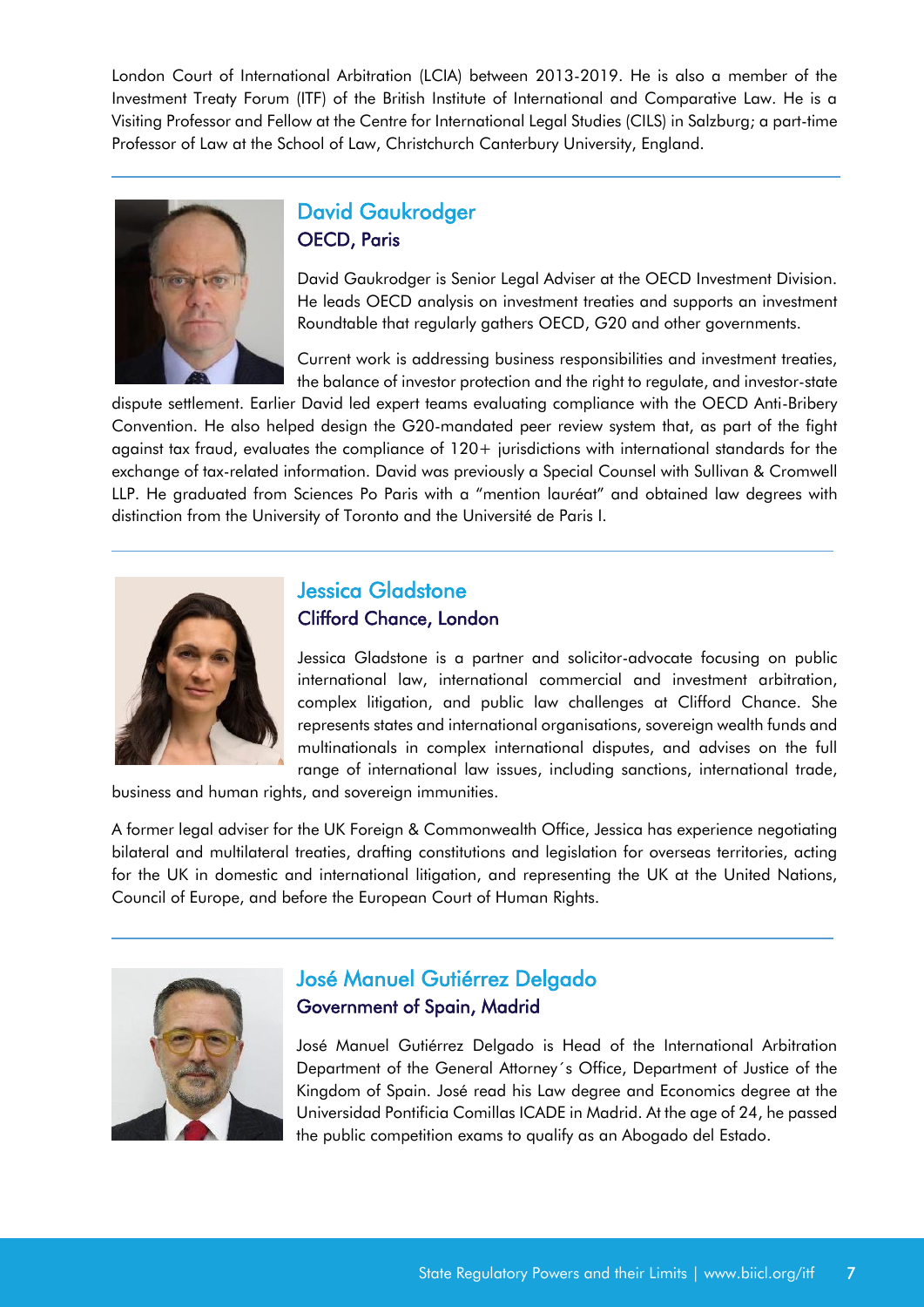London Court of International Arbitration (LCIA) between 2013-2019. He is also a member of the Investment Treaty Forum (ITF) of the British Institute of International and Comparative Law. He is a Visiting Professor and Fellow at the Centre for International Legal Studies (CILS) in Salzburg; a part-time Professor of Law at the School of Law, Christchurch Canterbury University, England.



### David Gaukrodger OECD, Paris

David Gaukrodger is Senior Legal Adviser at the OECD Investment Division. He leads OECD analysis on investment treaties and supports an investment Roundtable that regularly gathers OECD, G20 and other governments.

Current work is addressing business responsibilities and investment treaties, the balance of investor protection and the right to regulate, and investor-state

dispute settlement. Earlier David led expert teams evaluating compliance with the OECD Anti-Bribery Convention. He also helped design the G20-mandated peer review system that, as part of the fight against tax fraud, evaluates the compliance of 120+ jurisdictions with international standards for the exchange of tax-related information. David was previously a Special Counsel with Sullivan & Cromwell LLP. He graduated from Sciences Po Paris with a "mention lauréat" and obtained law degrees with distinction from the University of Toronto and the Université de Paris I.



#### Jessica Gladstone Clifford Chance, London

Jessica Gladstone is a partner and solicitor-advocate focusing on public international law, international commercial and investment arbitration, complex litigation, and public law challenges at Clifford Chance. She represents states and international organisations, sovereign wealth funds and multinationals in complex international disputes, and advises on the full range of international law issues, including sanctions, international trade,

business and human rights, and sovereign immunities.

A former legal adviser for the UK Foreign & Commonwealth Office, Jessica has experience negotiating bilateral and multilateral treaties, drafting constitutions and legislation for overseas territories, acting for the UK in domestic and international litigation, and representing the UK at the United Nations, Council of Europe, and before the European Court of Human Rights.



### José Manuel Gutiérrez Delgado Government of Spain, Madrid

José Manuel Gutiérrez Delgado is Head of the International Arbitration Department of the General Attorney´s Office, Department of Justice of the Kingdom of Spain. José read his Law degree and Economics degree at the Universidad Pontificia Comillas ICADE in Madrid. At the age of 24, he passed the public competition exams to qualify as an Abogado del Estado.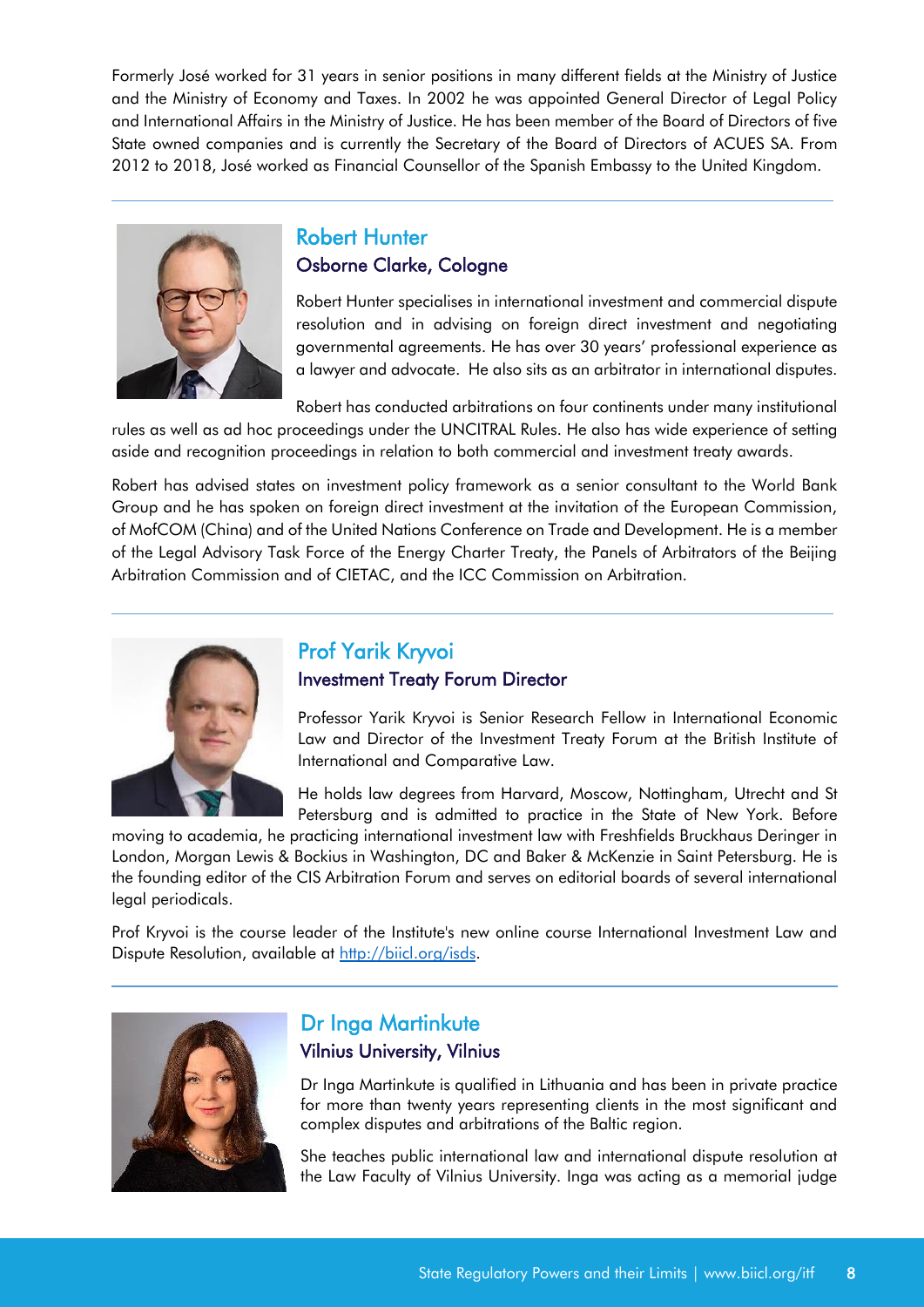Formerly José worked for 31 years in senior positions in many different fields at the Ministry of Justice and the Ministry of Economy and Taxes. In 2002 he was appointed General Director of Legal Policy and International Affairs in the Ministry of Justice. He has been member of the Board of Directors of five State owned companies and is currently the Secretary of the Board of Directors of ACUES SA. From 2012 to 2018, José worked as Financial Counsellor of the Spanish Embassy to the United Kingdom.



#### Robert Hunter Osborne Clarke, Cologne

Robert Hunter specialises in international investment and commercial dispute resolution and in advising on foreign direct investment and negotiating governmental agreements. He has over 30 years' professional experience as a lawyer and advocate. He also sits as an arbitrator in international disputes.

Robert has conducted arbitrations on four continents under many institutional rules as well as ad hoc proceedings under the UNCITRAL Rules. He also has wide experience of setting aside and recognition proceedings in relation to both commercial and investment treaty awards.

Robert has advised states on investment policy framework as a senior consultant to the World Bank Group and he has spoken on foreign direct investment at the invitation of the European Commission, of MofCOM (China) and of the United Nations Conference on Trade and Development. He is a member of the Legal Advisory Task Force of the Energy Charter Treaty, the Panels of Arbitrators of the Beijing Arbitration Commission and of CIETAC, and the ICC Commission on Arbitration.



## Prof Yarik Kryvoi Investment Treaty Forum Director

Professor Yarik Kryvoi is Senior Research Fellow in International Economic Law and Director of the Investment Treaty Forum at the British Institute of International and Comparative Law.

He holds law degrees from Harvard, Moscow, Nottingham, Utrecht and St Petersburg and is admitted to practice in the State of New York. Before

moving to academia, he practicing international investment law with Freshfields Bruckhaus Deringer in London, Morgan Lewis & Bockius in Washington, DC and Baker & McKenzie in Saint Petersburg. He is the founding editor of the CIS Arbitration Forum and serves on editorial boards of several international legal periodicals.

Prof Kryvoi is the course leader of the Institute's new online course International Investment Law and Dispute Resolution, available at [http://biicl.org/isds.](http://kryvoi.net/)



#### Dr Inga Martinkute Vilnius University, Vilnius

Dr Inga Martinkute is qualified in Lithuania and has been in private practice for more than twenty years representing clients in the most significant and complex disputes and arbitrations of the Baltic region.

She teaches public international law and international dispute resolution at the Law Faculty of Vilnius University. Inga was acting as a memorial judge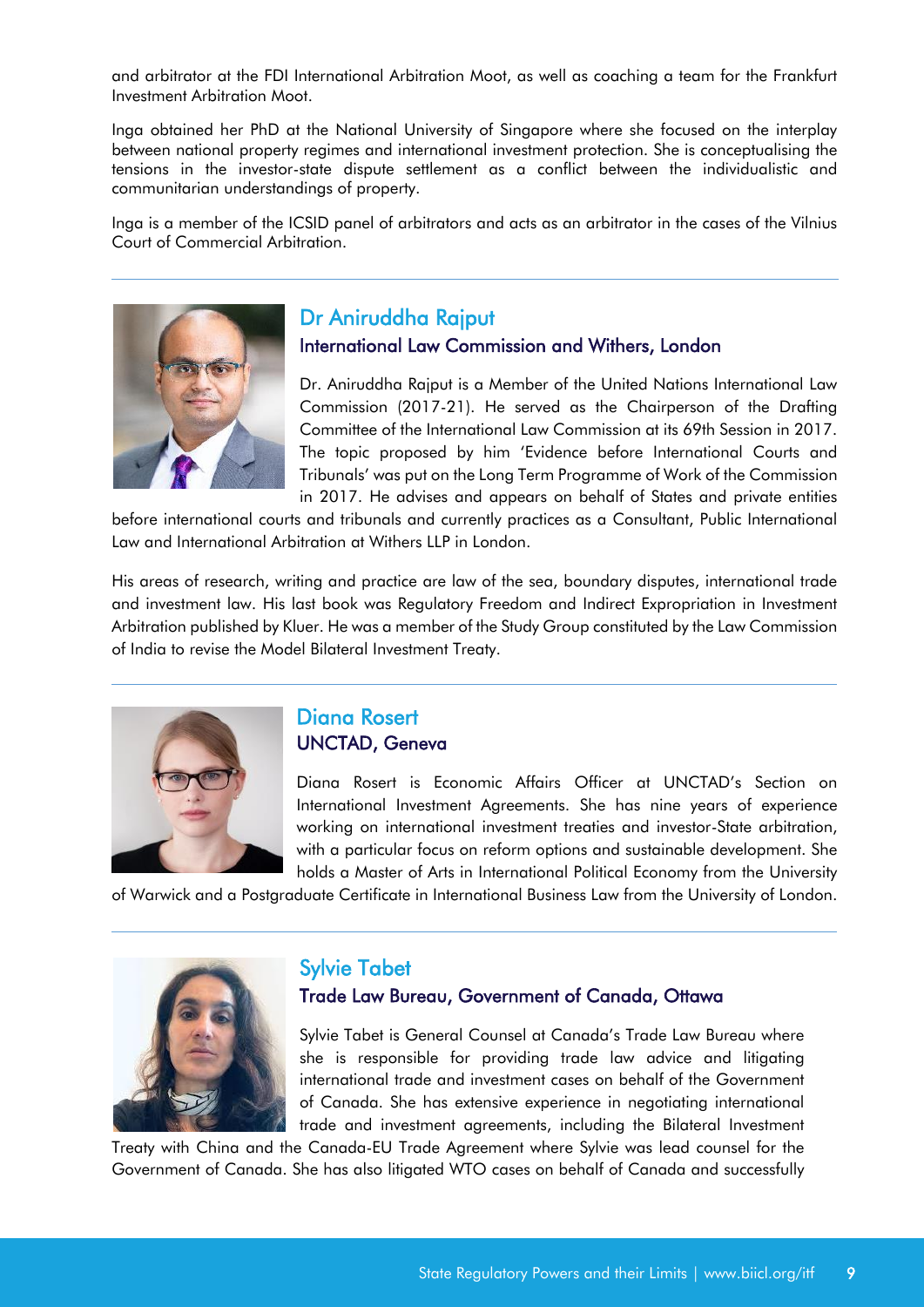and arbitrator at the FDI International Arbitration Moot, as well as coaching a team for the Frankfurt Investment Arbitration Moot.

Inga obtained her PhD at the National University of Singapore where she focused on the interplay between national property regimes and international investment protection. She is conceptualising the tensions in the investor-state dispute settlement as a conflict between the individualistic and communitarian understandings of property.

Inga is a member of the ICSID panel of arbitrators and acts as an arbitrator in the cases of the Vilnius Court of Commercial Arbitration.



### Dr Aniruddha Rajput

International Law Commission and Withers, London

Dr. Aniruddha Rajput is a Member of the United Nations International Law Commission (2017-21). He served as the Chairperson of the Drafting Committee of the International Law Commission at its 69th Session in 2017. The topic proposed by him 'Evidence before International Courts and Tribunals' was put on the Long Term Programme of Work of the Commission in 2017. He advises and appears on behalf of States and private entities

before international courts and tribunals and currently practices as a Consultant, Public International Law and International Arbitration at Withers LLP in London.

His areas of research, writing and practice are law of the sea, boundary disputes, international trade and investment law. His last book was Regulatory Freedom and Indirect Expropriation in Investment Arbitration published by Kluer. He was a member of the Study Group constituted by the Law Commission of India to revise the Model Bilateral Investment Treaty.



#### Diana Rosert UNCTAD, Geneva

Diana Rosert is Economic Affairs Officer at UNCTAD's Section on International Investment Agreements. She has nine years of experience working on international investment treaties and investor-State arbitration, with a particular focus on reform options and sustainable development. She holds a Master of Arts in International Political Economy from the University

of Warwick and a Postgraduate Certificate in International Business Law from the University of London.



### Sylvie Tabet

#### Trade Law Bureau, Government of Canada, Ottawa

Sylvie Tabet is General Counsel at Canada's Trade Law Bureau where she is responsible for providing trade law advice and litigating international trade and investment cases on behalf of the Government of Canada. She has extensive experience in negotiating international trade and investment agreements, including the Bilateral Investment

Treaty with China and the Canada-EU Trade Agreement where Sylvie was lead counsel for the Government of Canada. She has also litigated WTO cases on behalf of Canada and successfully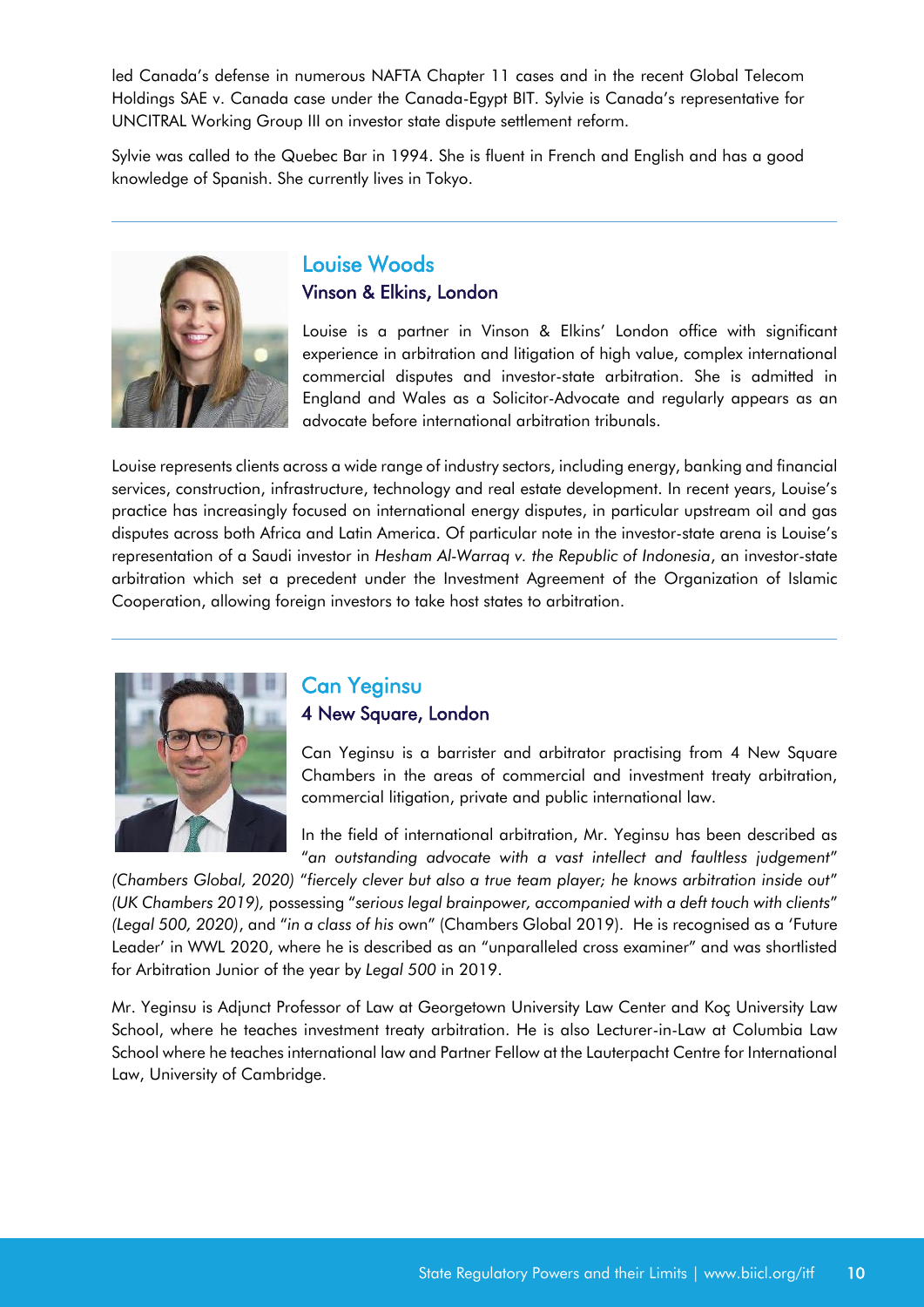led Canada's defense in numerous NAFTA Chapter 11 cases and in the recent Global Telecom Holdings SAE v. Canada case under the Canada-Egypt BIT. Sylvie is Canada's representative for UNCITRAL Working Group III on investor state dispute settlement reform.

Sylvie was called to the Quebec Bar in 1994. She is fluent in French and English and has a good knowledge of Spanish. She currently lives in Tokyo.



#### Louise Woods Vinson & Elkins, London

Louise is a partner in Vinson & Elkins' London office with significant experience in arbitration and litigation of high value, complex international commercial disputes and investor-state arbitration. She is admitted in England and Wales as a Solicitor-Advocate and regularly appears as an advocate before international arbitration tribunals.

Louise represents clients across a wide range of industry sectors, including energy, banking and financial services, construction, infrastructure, technology and real estate development. In recent years, Louise's practice has increasingly focused on international energy disputes, in particular upstream oil and gas disputes across both Africa and Latin America. Of particular note in the investor-state arena is Louise's representation of a Saudi investor in *Hesham Al-Warraq v. the Republic of Indonesia*, an investor-state arbitration which set a precedent under the Investment Agreement of the Organization of Islamic Cooperation, allowing foreign investors to take host states to arbitration.



### Can Yeginsu 4 New Square, London

Can Yeginsu is a barrister and arbitrator practising from 4 New Square Chambers in the areas of commercial and investment treaty arbitration, commercial litigation, private and public international law.

In the field of international arbitration, Mr. Yeginsu has been described as "*an outstanding advocate with a vast intellect and faultless judgement*"

*(Chambers Global, 2020)* "*fiercely clever but also a true team player; he knows arbitration inside out*" *(UK Chambers 2019),* possessing "*serious legal brainpower, accompanied with a deft touch with clients*" *(Legal 500, 2020)*, and "*in a class of his* own" (Chambers Global 2019). He is recognised as a 'Future Leader' in WWL 2020, where he is described as an "unparalleled cross examiner" and was shortlisted for Arbitration Junior of the year by *Legal 500* in 2019.

Mr. Yeginsu is Adjunct Professor of Law at Georgetown University Law Center and Koç University Law School, where he teaches investment treaty arbitration. He is also Lecturer-in-Law at Columbia Law School where he teaches international law and Partner Fellow at the Lauterpacht Centre for International Law, University of Cambridge.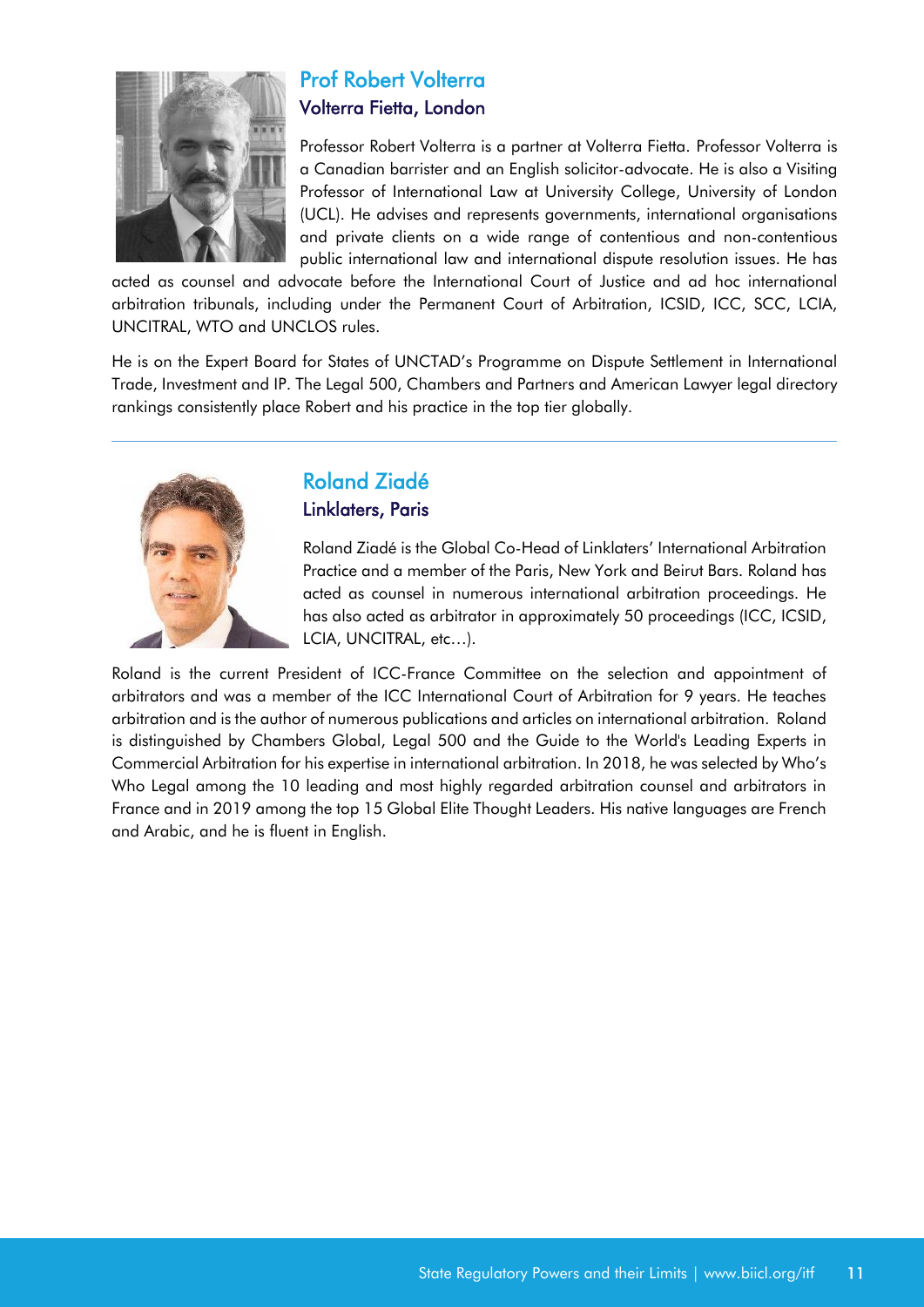

## Prof Robert Volterra Volterra Fietta, London

Professor Robert Volterra is a partner at Volterra Fietta. Professor Volterra is a Canadian barrister and an English solicitor-advocate. He is also a Visiting Professor of International Law at University College, University of London (UCL). He advises and represents governments, international organisations and private clients on a wide range of contentious and non-contentious public international law and international dispute resolution issues. He has

acted as counsel and advocate before the International Court of Justice and ad hoc international arbitration tribunals, including under the Permanent Court of Arbitration, ICSID, ICC, SCC, LCIA, UNCITRAL, WTO and UNCLOS rules.

He is on the Expert Board for States of UNCTAD's Programme on Dispute Settlement in International Trade, Investment and IP. The Legal 500, Chambers and Partners and American Lawyer legal directory rankings consistently place Robert and his practice in the top tier globally.



### Roland Ziadé Linklaters, Paris

Roland Ziadé is the Global Co-Head of Linklaters' International Arbitration Practice and a member of the Paris, New York and Beirut Bars. Roland has acted as counsel in numerous international arbitration proceedings. He has also acted as arbitrator in approximately 50 proceedings (ICC, ICSID, LCIA, UNCITRAL, etc…).

Roland is the current President of ICC-France Committee on the selection and appointment of arbitrators and was a member of the ICC International Court of Arbitration for 9 years. He teaches arbitration and is the author of numerous publications and articles on international arbitration. Roland is distinguished by Chambers Global, Legal 500 and the Guide to the World's Leading Experts in Commercial Arbitration for his expertise in international arbitration. In 2018, he was selected by Who's Who Legal among the 10 leading and most highly regarded arbitration counsel and arbitrators in France and in 2019 among the top 15 Global Elite Thought Leaders. His native languages are French and Arabic, and he is fluent in English.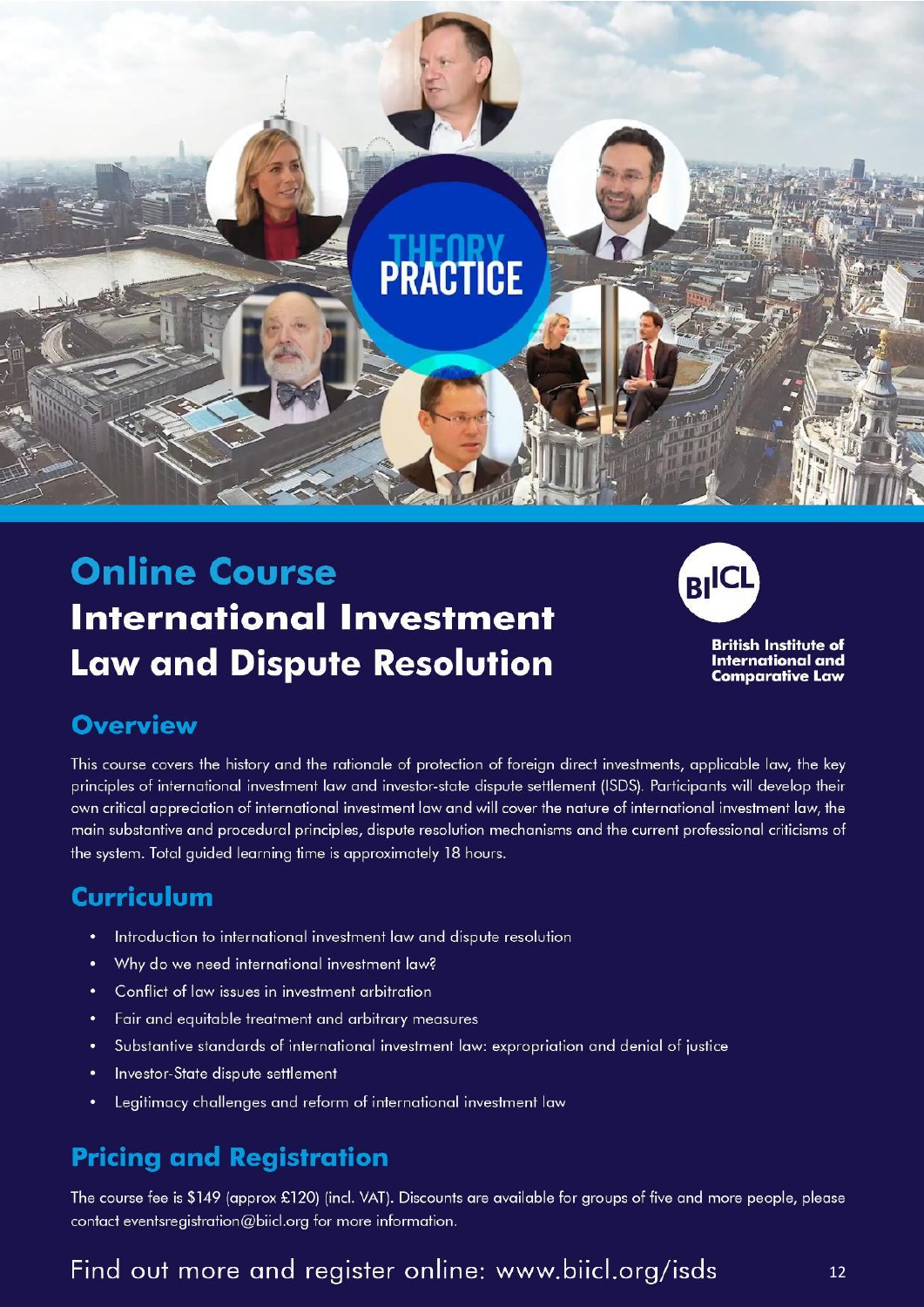<span id="page-12-0"></span>

## **Online Course International Investment Law and Dispute Resolution**



**British Institute of International and Comparative Law** 

## **Overview**

This course covers the history and the rationale of protection of foreign direct investments, applicable law, the key principles of international investment law and investor-state dispute settlement (ISDS). Participants will develop their own critical appreciation of international investment law and will cover the nature of international investment law, the main substantive and procedural principles, dispute resolution mechanisms and the current professional criticisms of the system. Total guided learning time is approximately 18 hours.

## Curriculum

- $\bullet$ Introduction to international investment law and dispute resolution
- Why do we need international investment law?  $\bullet$
- Conflict of law issues in investment arbitration  $\bullet$
- Fair and equitable treatment and arbitrary measures  $\bullet$
- Substantive standards of international investment law: expropriation and denial of justice  $\bullet$
- Investor-State dispute settlement  $\bullet$
- Legitimacy challenges and reform of international investment law

## **Pricing and Registration**

The course fee is \$149 (approx £120) (incl. VAT). Discounts are available for groups of five and more people, please contact eventsregistration@biicl.org for more information.

## Find out more and register online: www.biicl.org/isds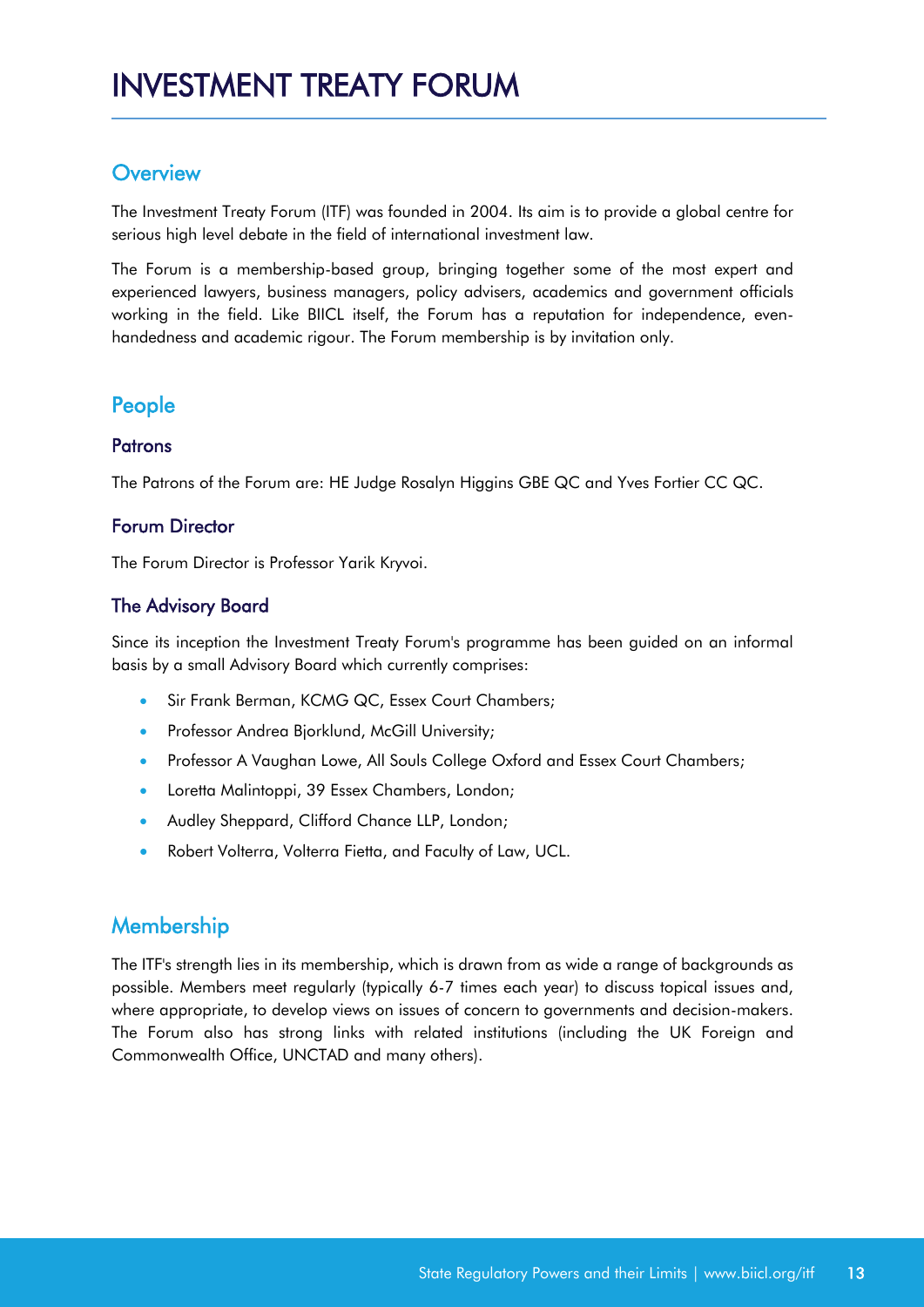### <span id="page-13-0"></span>**Overview**

The Investment Treaty Forum (ITF) was founded in 2004. Its aim is to provide a global centre for serious high level debate in the field of international investment law.

The Forum is a membership-based group, bringing together some of the most expert and experienced lawyers, business managers, policy advisers, academics and government officials working in the field. Like BIICL itself, the Forum has a reputation for independence, evenhandedness and academic rigour. The Forum membership is by invitation only.

### People

#### **Patrons**

The Patrons of the Forum are: HE Judge Rosalyn Higgins GBE QC and Yves Fortier CC QC.

#### Forum Director

The Forum Director is Professor Yarik Kryvoi.

#### The Advisory Board

Since its inception the Investment Treaty Forum's programme has been guided on an informal basis by a small Advisory Board which currently comprises:

- Sir Frank Berman, KCMG QC, Essex Court Chambers;
- **•** Professor Andrea Bjorklund, McGill University;
- Professor A Vaughan Lowe, All Souls College Oxford and Essex Court Chambers;
- **•** Loretta Malintoppi, 39 Essex Chambers, London;
- Audley Sheppard, Clifford Chance LLP, London;
- Robert Volterra, Volterra Fietta, and Faculty of Law, UCL.

## **Membership**

The ITF's strength lies in its membership, which is drawn from as wide a range of backgrounds as possible. Members meet regularly (typically 6-7 times each year) to discuss topical issues and, where appropriate, to develop views on issues of concern to governments and decision-makers. The Forum also has strong links with related institutions (including the UK Foreign and Commonwealth Office, UNCTAD and many others).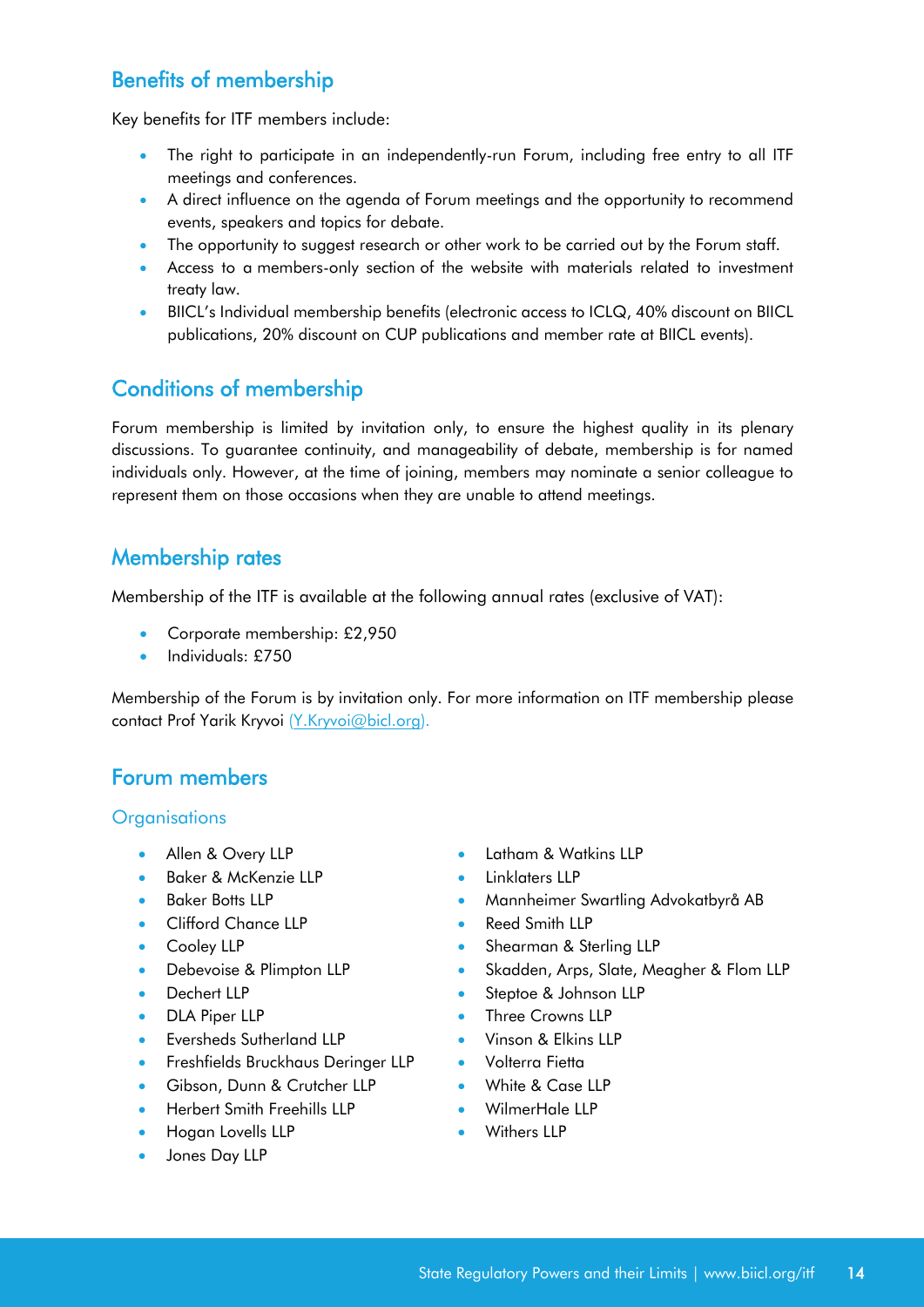## Benefits of membership

Key benefits for ITF members include:

- The right to participate in an independently-run Forum, including free entry to all ITF meetings and conferences.
- A direct influence on the agenda of Forum meetings and the opportunity to recommend events, speakers and topics for debate.
- The opportunity to suggest research or other work to be carried out by the Forum staff.
- Access to a members-only section of the website with materials related to investment treaty law.
- BIICL's Individual membership benefits (electronic access to ICLQ, 40% discount on BIICL publications, 20% discount on CUP publications and member rate at BIICL events).

## Conditions of membership

Forum membership is limited by invitation only, to ensure the highest quality in its plenary discussions. To guarantee continuity, and manageability of debate, membership is for named individuals only. However, at the time of joining, members may nominate a senior colleague to represent them on those occasions when they are unable to attend meetings.

### Membership rates

Membership of the ITF is available at the following annual rates (exclusive of VAT):

- Corporate membership: £2,950
- Individuals: £750

Membership of the Forum is by invitation only. For more information on ITF membership please contact Prof Yarik Kryvoi [\(Y.Kryvoi@bicl.org\)](mailto:Y.Kryvoi@bicl.org).

## Forum members

#### **Organisations**

- 
- [Baker & McKenzie LLP](https://www.bakermckenzie.com/en/) [Linklaters LLP](https://www.linklaters.com/)
- 
- [Clifford Chance LLP](https://www.cliffordchance.com/home.html) [Reed Smith LLP](https://www.reedsmith.com/en)
- 
- 
- 
- 
- [Eversheds Sutherland LLP](https://www.eversheds-sutherland.com/global/en/index.page) [Vinson & Elkins LLP](https://www.velaw.com/)
- [Freshfields Bruckhaus Deringer LLP](https://www.freshfields.com/en-gb/) [Volterra Fietta](https://www.volterrafietta.com/)
- [Gibson, Dunn & Crutcher LLP](https://www.gibsondunn.com/) [White & Case LLP](https://www.whitecase.com/)
- [Herbert Smith Freehills LLP](https://www.herbertsmithfreehills.com/) [WilmerHale LLP](https://www.wilmerhale.com/uk)
- [Hogan Lovells LLP](https://www.hoganlovells.com/en) **[Withers LLP](https://www.withersworldwide.com/en-gb/)**
- [Jones Day LLP](https://www.jonesday.com/en/)
- [Allen & Overy LLP](http://www.allenovery.com/pages/default.aspx) [Latham & Watkins LLP](https://www.lw.com/)
	-
- [Baker Botts LLP](http://www.bakerbotts.com/) [Mannheimer Swartling Advokatbyrå AB](https://www.mannheimerswartling.com/)
	-
- [Cooley LLP](https://www.cooley.com/) **[Shearman & Sterling LLP](https://www.shearman.com/en/)**
- [Debevoise & Plimpton LLP](https://www.debevoise.com/) [Skadden, Arps, Slate, Meagher & Flom LLP](https://www.skadden.com/)
- [Dechert LLP](https://www.dechert.com/) [Steptoe & Johnson LLP](https://www.steptoe.com/en/)
- [DLA Piper LLP](https://www.dlapiper.com/en/uk/) [Three Crowns LLP](https://www.threecrownsllp.com/)
	-
	-
	-
	-
	-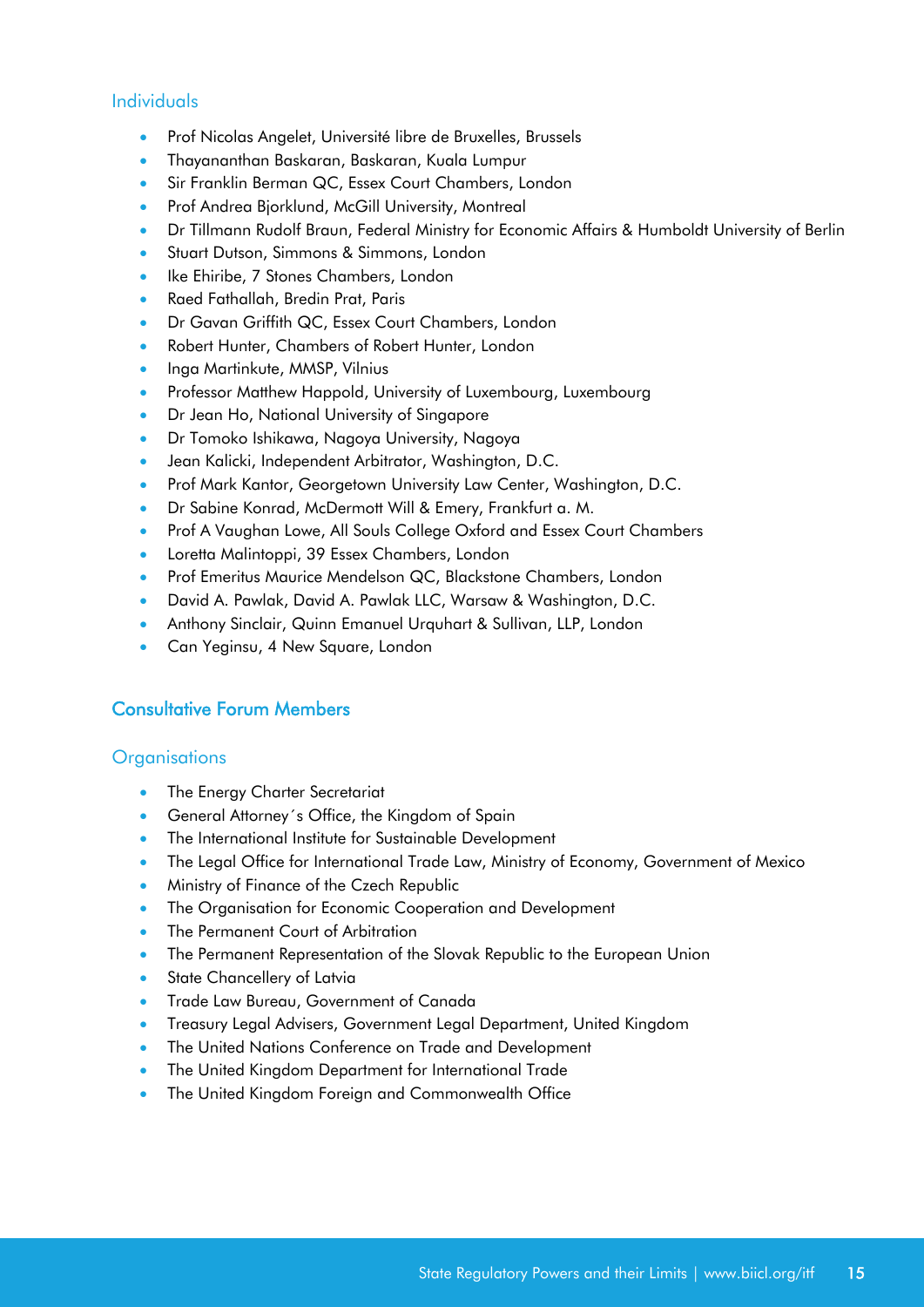#### Individuals

- Prof Nicolas Angelet, Université libre de Bruxelles, Brussels
- Thayananthan Baskaran, Baskaran, Kuala Lumpur
- Sir Franklin Berman QC, Essex Court Chambers, London
- Prof Andrea Bjorklund, McGill University, Montreal
- Dr Tillmann Rudolf Braun, Federal Ministry for Economic Affairs & Humboldt University of Berlin
- Stuart Dutson, Simmons & Simmons, London
- Ike Ehiribe, 7 Stones Chambers, London
- Raed Fathallah, Bredin Prat, Paris
- Dr Gavan Griffith QC, Essex Court Chambers, London
- Robert Hunter, Chambers of Robert Hunter, London
- Inga Martinkute, MMSP, Vilnius
- Professor Matthew Happold, University of Luxembourg, Luxembourg
- Dr Jean Ho, National University of Singapore
- Dr Tomoko Ishikawa, Nagoya University, Nagoya
- Jean Kalicki, Independent Arbitrator, Washington, D.C.
- Prof Mark Kantor, Georgetown University Law Center, Washington, D.C.
- Dr Sabine Konrad, McDermott Will & Emery, Frankfurt a. M.
- Prof A Vaughan Lowe, All Souls College Oxford and Essex Court Chambers
- Loretta Malintoppi, 39 Essex Chambers, London
- **•** Prof Emeritus Maurice Mendelson QC, Blackstone Chambers, London
- David A. Pawlak, David A. Pawlak LLC, Warsaw & Washington, D.C.
- Anthony Sinclair, Quinn Emanuel Urquhart & Sullivan, LLP, London
- Can Yeginsu, 4 New Square, London

#### Consultative Forum Members

#### **Organisations**

- The Energy Charter Secretariat
- General Attorney´s Office, the Kingdom of Spain
- The International Institute for Sustainable Development
- The Legal Office for International Trade Law, Ministry of Economy, Government of Mexico
- Ministry of Finance of the Czech Republic
- The Organisation for Economic Cooperation and Development
- The Permanent Court of Arbitration
- The Permanent Representation of the Slovak Republic to the European Union
- **State Chancellery of Latvia**
- Trade Law Bureau, Government of Canada
- Treasury Legal Advisers, Government Legal Department, United Kingdom
- The United Nations Conference on Trade and Development
- The United Kingdom Department for International Trade
- The United Kingdom Foreign and Commonwealth Office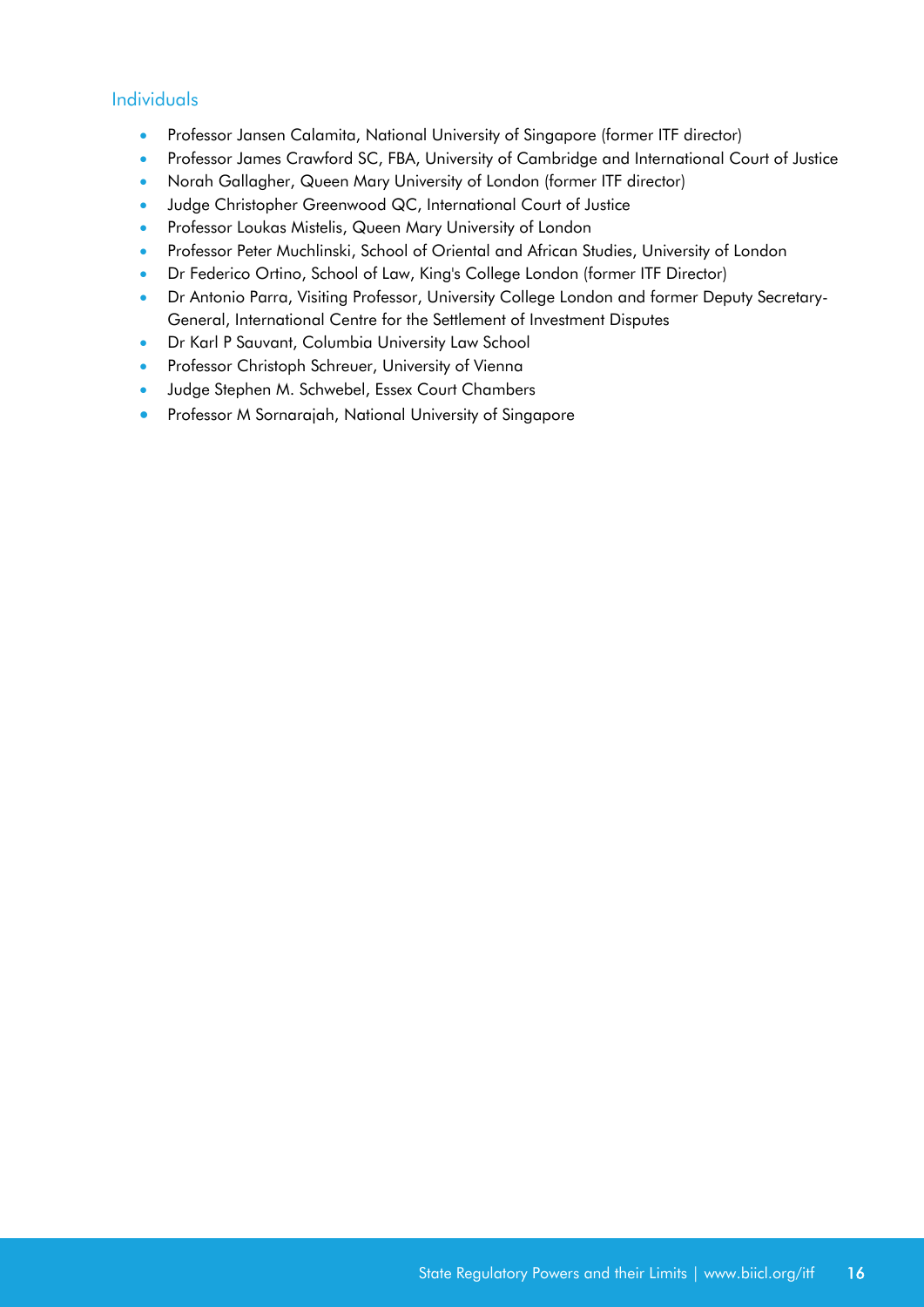#### Individuals

- Professor Jansen Calamita, National University of Singapore (former ITF director)
- Professor James Crawford SC, FBA, University of Cambridge and International Court of Justice
- Norah Gallagher, Queen Mary University of London (former ITF director)
- Judge Christopher Greenwood QC, International Court of Justice
- **•** Professor Loukas Mistelis, Queen Mary University of London
- **•** Professor Peter Muchlinski, School of Oriental and African Studies, University of London
- Dr Federico Ortino, School of Law, King's College London (former ITF Director)
- Dr Antonio Parra, Visiting Professor, University College London and former Deputy Secretary-General, International Centre for the Settlement of Investment Disputes
- **•** Dr Karl P Sauvant, Columbia University Law School
- Professor Christoph Schreuer, University of Vienna
- Judge Stephen M. Schwebel, Essex Court Chambers
- **•** Professor M Sornarajah, National University of Singapore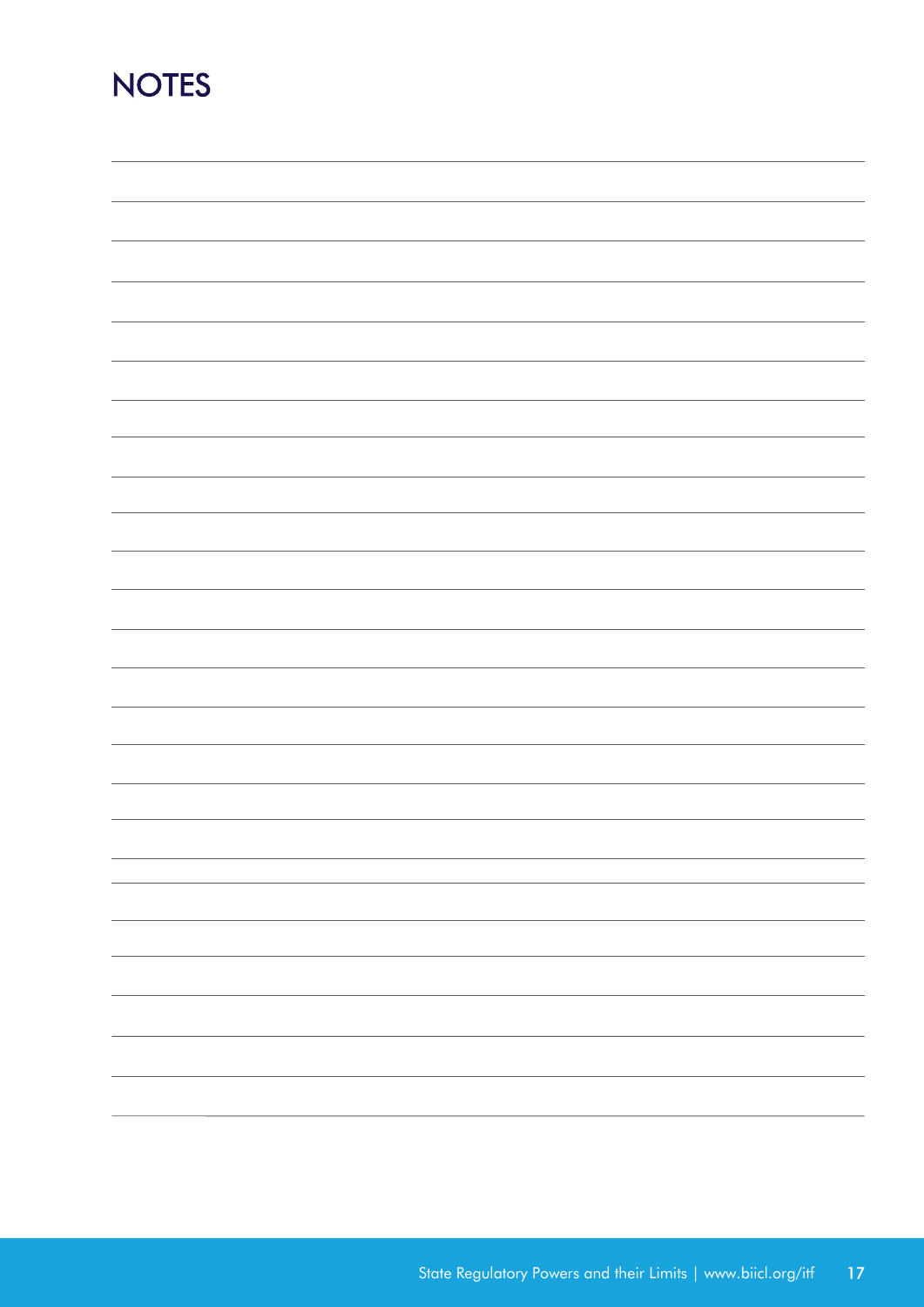## <span id="page-17-0"></span>**NOTES**

|  | —                        |
|--|--------------------------|
|  |                          |
|  |                          |
|  |                          |
|  |                          |
|  |                          |
|  |                          |
|  | $\overline{\phantom{0}}$ |
|  |                          |
|  |                          |
|  |                          |
|  | —                        |
|  |                          |
|  |                          |
|  | $\sim$                   |
|  |                          |
|  |                          |
|  |                          |
|  | $\overline{\phantom{0}}$ |
|  |                          |
|  |                          |
|  |                          |
|  | $\overline{\phantom{0}}$ |
|  |                          |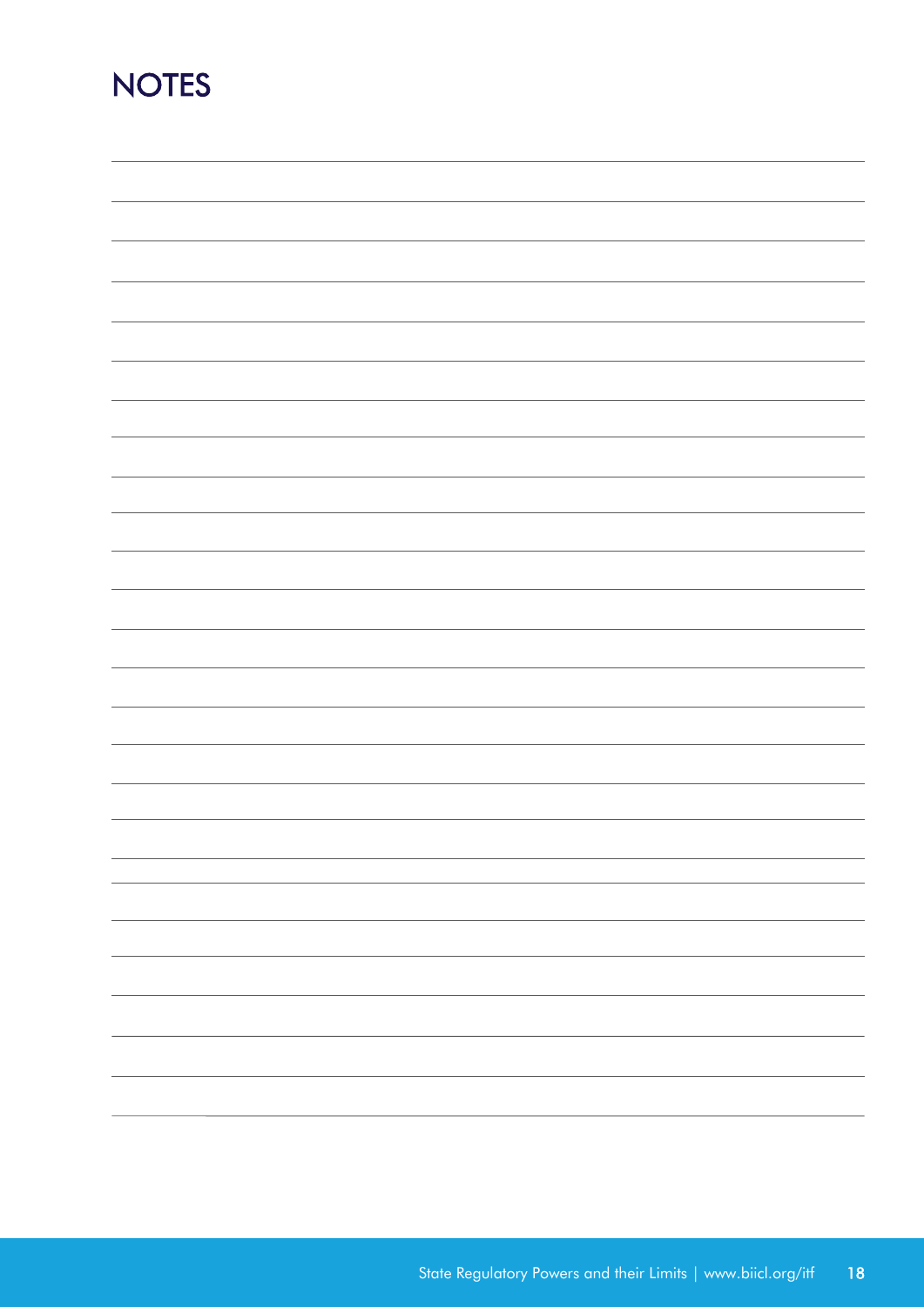## **NOTES**

| $\overline{\phantom{0}}$ |
|--------------------------|
|                          |
|                          |
| $\sim$ $\sim$            |
| -                        |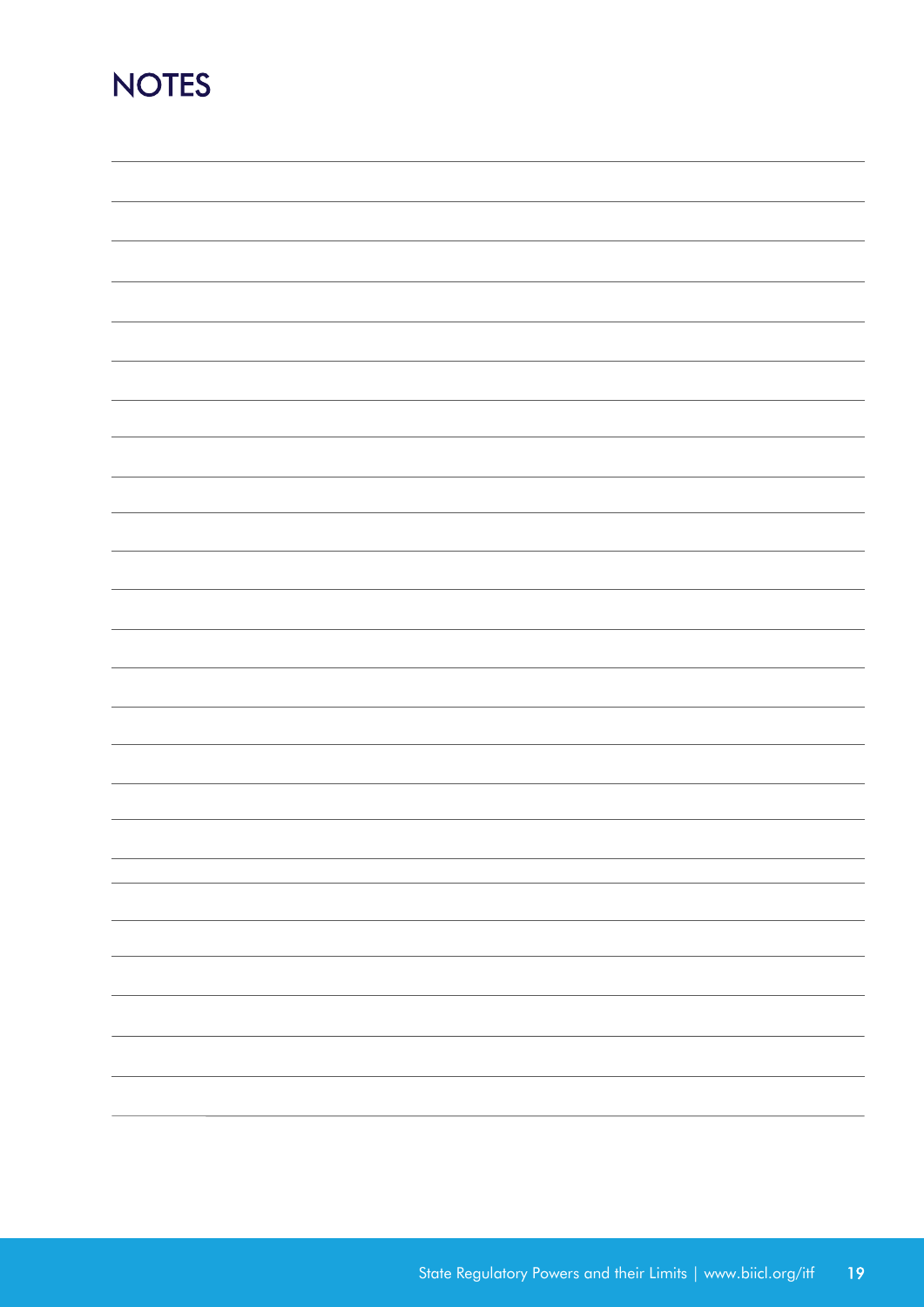## **NOTES**

| -                        |
|--------------------------|
|                          |
|                          |
|                          |
|                          |
| $\overline{\phantom{0}}$ |
| $\sim$ $\sim$            |
|                          |
| $\overline{\phantom{a}}$ |
| $\overline{\phantom{0}}$ |